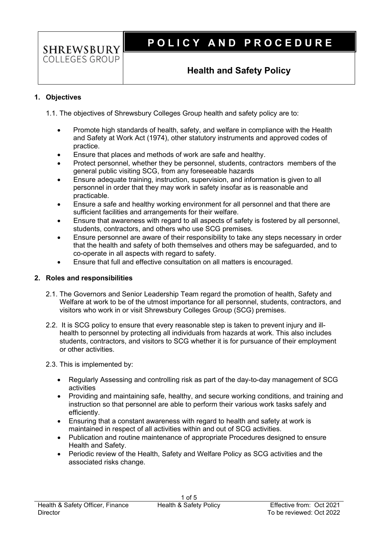**SHREWSBURY** COLLEGES GROUP

# **P O L I C Y A N D P R O C E D U R E**

### **Health and Safety Policy**

### **1. Objectives**

1.1. The objectives of Shrewsbury Colleges Group health and safety policy are to:

- Promote high standards of health, safety, and welfare in compliance with the Health and Safety at Work Act (1974), other statutory instruments and approved codes of practice.
- Ensure that places and methods of work are safe and healthy.
- Protect personnel, whether they be personnel, students, contractors members of the general public visiting SCG, from any foreseeable hazards
- Ensure adequate training, instruction, supervision, and information is given to all personnel in order that they may work in safety insofar as is reasonable and practicable.
- Ensure a safe and healthy working environment for all personnel and that there are sufficient facilities and arrangements for their welfare.
- Ensure that awareness with regard to all aspects of safety is fostered by all personnel, students, contractors, and others who use SCG premises.
- Ensure personnel are aware of their responsibility to take any steps necessary in order that the health and safety of both themselves and others may be safeguarded, and to co-operate in all aspects with regard to safety.
- Ensure that full and effective consultation on all matters is encouraged.

#### **2. Roles and responsibilities**

- 2.1. The Governors and Senior Leadership Team regard the promotion of health, Safety and Welfare at work to be of the utmost importance for all personnel, students, contractors, and visitors who work in or visit Shrewsbury Colleges Group (SCG) premises.
- 2.2. It is SCG policy to ensure that every reasonable step is taken to prevent injury and illhealth to personnel by protecting all individuals from hazards at work. This also includes students, contractors, and visitors to SCG whether it is for pursuance of their employment or other activities.
- 2.3. This is implemented by:
	- Regularly Assessing and controlling risk as part of the day-to-day management of SCG activities
	- Providing and maintaining safe, healthy, and secure working conditions, and training and instruction so that personnel are able to perform their various work tasks safely and efficiently.
	- Ensuring that a constant awareness with regard to health and safety at work is maintained in respect of all activities within and out of SCG activities.
	- Publication and routine maintenance of appropriate Procedures designed to ensure Health and Safety.
	- Periodic review of the Health, Safety and Welfare Policy as SCG activities and the associated risks change.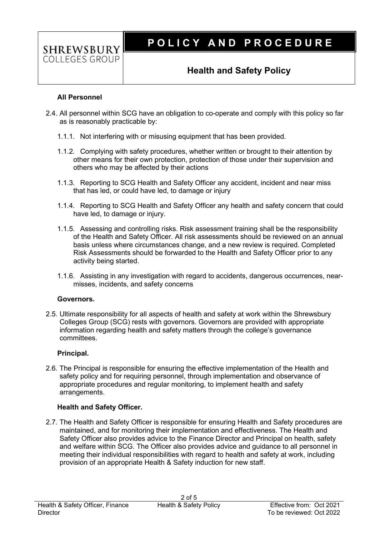## **P O L I C Y A N D P R O C E D U R E**

### **Health and Safety Policy**

#### **All Personnel**

**SHREWSBURY** COLLEGES GROUP

- 2.4. All personnel within SCG have an obligation to co-operate and comply with this policy so far as is reasonably practicable by:
	- 1.1.1. Not interfering with or misusing equipment that has been provided.
	- 1.1.2. Complying with safety procedures, whether written or brought to their attention by other means for their own protection, protection of those under their supervision and others who may be affected by their actions
	- 1.1.3. Reporting to SCG Health and Safety Officer any accident, incident and near miss that has led, or could have led, to damage or injury
	- 1.1.4. Reporting to SCG Health and Safety Officer any health and safety concern that could have led, to damage or injury.
	- 1.1.5. Assessing and controlling risks. Risk assessment training shall be the responsibility of the Health and Safety Officer. All risk assessments should be reviewed on an annual basis unless where circumstances change, and a new review is required. Completed Risk Assessments should be forwarded to the Health and Safety Officer prior to any activity being started.
	- 1.1.6. Assisting in any investigation with regard to accidents, dangerous occurrences, nearmisses, incidents, and safety concerns

#### **Governors.**

2.5. Ultimate responsibility for all aspects of health and safety at work within the Shrewsbury Colleges Group (SCG) rests with governors. Governors are provided with appropriate information regarding health and safety matters through the college's governance committees.

#### **Principal.**

2.6. The Principal is responsible for ensuring the effective implementation of the Health and safety policy and for requiring personnel, through implementation and observance of appropriate procedures and regular monitoring, to implement health and safety arrangements.

### **Health and Safety Officer.**

2.7. The Health and Safety Officer is responsible for ensuring Health and Safety procedures are maintained, and for monitoring their implementation and effectiveness. The Health and Safety Officer also provides advice to the Finance Director and Principal on health, safety and welfare within SCG. The Officer also provides advice and guidance to all personnel in meeting their individual responsibilities with regard to health and safety at work, including provision of an appropriate Health & Safety induction for new staff.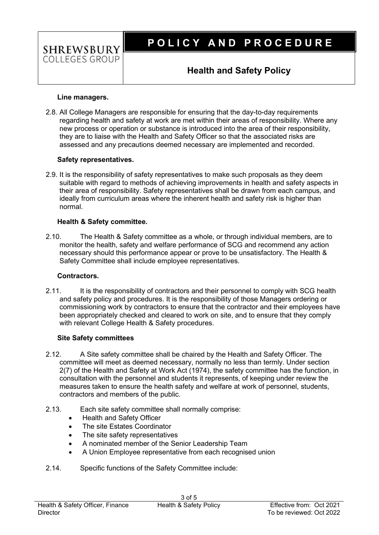

### **Health and Safety Policy**

#### **Line managers.**

**SHREWSBURY** COLLEGES GROUP

2.8. All College Managers are responsible for ensuring that the day-to-day requirements regarding health and safety at work are met within their areas of responsibility. Where any new process or operation or substance is introduced into the area of their responsibility, they are to liaise with the Health and Safety Officer so that the associated risks are assessed and any precautions deemed necessary are implemented and recorded.

#### **Safety representatives.**

2.9. It is the responsibility of safety representatives to make such proposals as they deem suitable with regard to methods of achieving improvements in health and safety aspects in their area of responsibility. Safety representatives shall be drawn from each campus, and ideally from curriculum areas where the inherent health and safety risk is higher than normal.

#### **Health & Safety committee.**

2.10. The Health & Safety committee as a whole, or through individual members, are to monitor the health, safety and welfare performance of SCG and recommend any action necessary should this performance appear or prove to be unsatisfactory. The Health & Safety Committee shall include employee representatives.

#### **Contractors.**

2.11. It is the responsibility of contractors and their personnel to comply with SCG health and safety policy and procedures. It is the responsibility of those Managers ordering or commissioning work by contractors to ensure that the contractor and their employees have been appropriately checked and cleared to work on site, and to ensure that they comply with relevant College Health & Safety procedures.

#### **Site Safety committees**

- 2.12. A Site safety committee shall be chaired by the Health and Safety Officer. The committee will meet as deemed necessary, normally no less than termly. Under section 2(7) of the Health and Safety at Work Act (1974), the safety committee has the function, in consultation with the personnel and students it represents, of keeping under review the measures taken to ensure the health safety and welfare at work of personnel, students, contractors and members of the public.
- 2.13. Each site safety committee shall normally comprise:
	- Health and Safety Officer
	- The site Estates Coordinator
	- The site safety representatives
	- A nominated member of the Senior Leadership Team
	- A Union Employee representative from each recognised union
- 2.14. Specific functions of the Safety Committee include: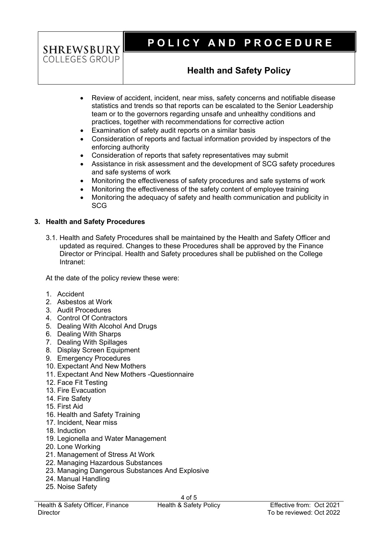## **SHREWSBURY** COLLEGES GROUP

# **P O L I C Y A N D P R O C E D U R E**

## **Health and Safety Policy**

- Review of accident, incident, near miss, safety concerns and notifiable disease statistics and trends so that reports can be escalated to the Senior Leadership team or to the governors regarding unsafe and unhealthy conditions and practices, together with recommendations for corrective action
- Examination of safety audit reports on a similar basis
- Consideration of reports and factual information provided by inspectors of the enforcing authority
- Consideration of reports that safety representatives may submit
- Assistance in risk assessment and the development of SCG safety procedures and safe systems of work
- Monitoring the effectiveness of safety procedures and safe systems of work
- Monitoring the effectiveness of the safety content of employee training
- Monitoring the adequacy of safety and health communication and publicity in **SCG**

### **3. Health and Safety Procedures**

3.1. Health and Safety Procedures shall be maintained by the Health and Safety Officer and updated as required. Changes to these Procedures shall be approved by the Finance Director or Principal. Health and Safety procedures shall be published on the College Intranet:

At the date of the policy review these were:

- 1. Accident
- 2. Asbestos at Work
- 3. Audit Procedures
- 4. Control Of Contractors
- 5. Dealing With Alcohol And Drugs
- 6. Dealing With Sharps
- 7. Dealing With Spillages
- 8. Display Screen Equipment
- 9. Emergency Procedures
- 10. Expectant And New Mothers
- 11. Expectant And New Mothers -Questionnaire
- 12. Face Fit Testing
- 13. Fire Evacuation
- 14. Fire Safety
- 15. First Aid
- 16. Health and Safety Training
- 17. Incident, Near miss
- 18. Induction
- 19. Legionella and Water Management
- 20. Lone Working
- 21. Management of Stress At Work
- 22. Managing Hazardous Substances
- 23. Managing Dangerous Substances And Explosive
- 24. Manual Handling
- 25. Noise Safety